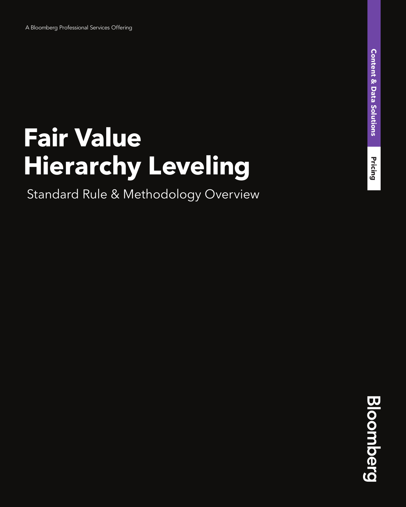# **Fair Value Hierarchy Leveling**

Standard Rule & Methodology Overview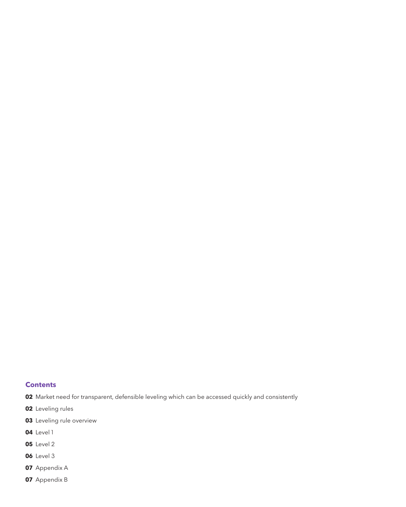#### **Contents**

- Market need for transparent, defensible leveling which can be accessed quickly and consistently
- Leveling rules
- Leveling rule overview
- Level 1
- Level 2
- Level 3
- Appendix A
- Appendix B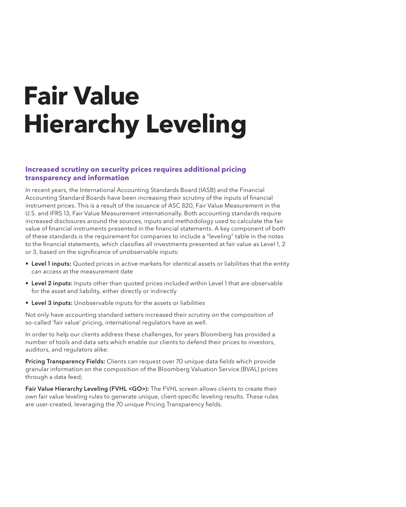# **Fair Value Hierarchy Leveling**

#### **Increased scrutiny on security prices requires additional pricing transparency and information**

In recent years, the International Accounting Standards Board (IASB) and the Financial Accounting Standard Boards have been increasing their scrutiny of the inputs of financial instrument prices. This is a result of the issuance of ASC 820, Fair Value Measurement in the U.S. and IFRS 13, Fair Value Measurement internationally. Both accounting standards require increased disclosures around the sources, inputs and methodology used to calculate the fair value of financial instruments presented in the financial statements. A key component of both of these standards is the requirement for companies to include a "leveling" table in the notes to the financial statements, which classifies all investments presented at fair value as Level 1, 2 or 3, based on the significance of unobservable inputs:

- Level 1 inputs: Quoted prices in active markets for identical assets or liabilities that the entity can access at the measurement date
- Level 2 inputs: Inputs other than quoted prices included within Level 1 that are observable for the asset and liability, either directly or indirectly
- Level 3 inputs: Unobservable inputs for the assets or liabilities

Not only have accounting standard setters increased their scrutiny on the composition of so-called 'fair value' pricing, international regulators have as well.

In order to help our clients address these challenges, for years Bloomberg has provided a number of tools and data sets which enable our clients to defend their prices to investors, auditors, and regulators alike:

Pricing Transparency Fields: Clients can request over 70 unique data fields which provide granular information on the composition of the Bloomberg Valuation Service (BVAL) prices through a data feed;

Fair Value Hierarchy Leveling (FVHL <GO>): The FVHL screen allows clients to create their own fair value leveling rules to generate unique, client-specific leveling results. These rules are user-created, leveraging the 70 unique Pricing Transparency fields.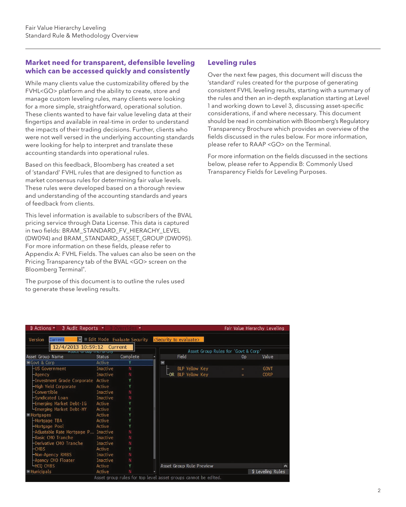#### **Market need for transparent, defensible leveling which can be accessed quickly and consistently**

While many clients value the customizability offered by the FVHL<GO> platform and the ability to create, store and manage custom leveling rules, many clients were looking for a more simple, straightforward, operational solution. These clients wanted to have fair value leveling data at their fingertips and available in real-time in order to understand the impacts of their trading decisions. Further, clients who were not well versed in the underlying accounting standards were looking for help to interpret and translate these accounting standards into operational rules.

Based on this feedback, Bloomberg has created a set of 'standard' FVHL rules that are designed to function as market consensus rules for determining fair value levels. These rules were developed based on a thorough review and understanding of the accounting standards and years of feedback from clients.

This level information is available to subscribers of the BVAL pricing service through Data License. This data is captured in two fields: BRAM\_STANDARD\_FV\_HIERACHY\_LEVEL (DW094) and BRAM\_STANDARD\_ASSET\_GROUP (DW095). For more information on these fields, please refer to Appendix A: FVHL Fields. The values can also be seen on the Pricing Transparency tab of the BVAL <GO> screen on the Bloomberg Terminal® .

The purpose of this document is to outline the rules used to generate these leveling results.

## **Leveling rules**

Over the next few pages, this document will discuss the 'standard' rules created for the purpose of generating consistent FVHL leveling results, starting with a summary of the rules and then an in-depth explanation starting at Level 1 and working down to Level 3, discussing asset-specific considerations, if and where necessary. This document should be read in combination with Bloomberg's Regulatory Transparency Brochure which provides an overview of the fields discussed in the rules below. For more information, please refer to RAAP <GO> on the Terminal.

For more information on the fields discussed in the sections below, please refer to Appendix B: Commonly Used Transparency Fields for Leveling Purposes.

| $\theta$ Actions $\sim$<br>$\sqrt{2}$ Audit Reports $\sim$ |                 |                                                                                 |   |                                 |                                     |                | Fair Value Hierarchy Leveling |
|------------------------------------------------------------|-----------------|---------------------------------------------------------------------------------|---|---------------------------------|-------------------------------------|----------------|-------------------------------|
| Version<br>ы<br>Current<br>12/4/2013 10:59:12              |                 | Edit Mode Evaluate Security <security evaluate="" to=""><br/>Current</security> |   |                                 |                                     |                |                               |
|                                                            | प्राच्या प्रमाण |                                                                                 |   |                                 | Asset Group Rules for 'Govt & Corp' |                |                               |
| Asset Group Name                                           | <b>Status</b>   | Complete                                                                        |   | Field                           |                                     | 0 <sub>D</sub> | Value                         |
| Govt & Corp                                                | Active          |                                                                                 | Ξ |                                 |                                     |                |                               |
| -US Government                                             | Inactive        | N                                                                               |   | <b>BLP Yellow Key</b>           |                                     | ٠              | <b>GOVT</b>                   |
| -Agency                                                    | Inactive        | N                                                                               |   | LOR BLP Yellow Key              |                                     | $=$            | <b>CORP</b>                   |
| -Investment Grade Corporate Active                         |                 |                                                                                 |   |                                 |                                     |                |                               |
| -High Yield Corporate                                      | Active          |                                                                                 |   |                                 |                                     |                |                               |
| -Convertible                                               | Inactive        |                                                                                 |   |                                 |                                     |                |                               |
| -Syndicated Loan                                           | Inactive        | N                                                                               |   |                                 |                                     |                |                               |
| -Emerging Market Debt-IG                                   | Active          |                                                                                 |   |                                 |                                     |                |                               |
| -Emerging Market Debt-HY                                   | Active          |                                                                                 |   |                                 |                                     |                |                               |
| Mortgages                                                  | Active          |                                                                                 |   |                                 |                                     |                |                               |
| -Mortgage TBA                                              | Active          |                                                                                 |   |                                 |                                     |                |                               |
| -Mortgage Pool                                             | Active          |                                                                                 |   |                                 |                                     |                |                               |
| -Adjustable Rate Mortgage P Inactive                       |                 |                                                                                 |   |                                 |                                     |                |                               |
| -Basic CMO Tranche                                         | Inactive        |                                                                                 |   |                                 |                                     |                |                               |
| -Derivative CMO Tranche                                    | Inactive        |                                                                                 |   |                                 |                                     |                |                               |
| $-CMBS$                                                    | Active          |                                                                                 |   |                                 |                                     |                |                               |
| Non-Agency RMBS                                            | Inactive        |                                                                                 |   |                                 |                                     |                |                               |
| -Agency CMO Floater                                        | Inactive        |                                                                                 |   |                                 |                                     |                |                               |
| <b>LHCQ CMBS</b>                                           | Active          |                                                                                 |   | <b>Asset Group Rule Preview</b> |                                     |                |                               |
| $H$ Municipals                                             | Active          |                                                                                 |   |                                 |                                     |                | <b>S</b> Leveling Rules       |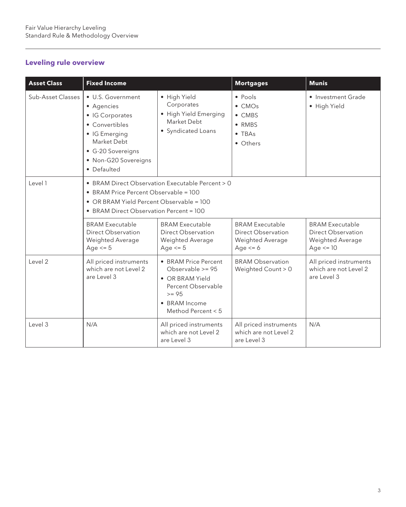## **Leveling rule overview**

| <b>Asset Class</b> | <b>Fixed Income</b>                                                                                                                                                              |                                                                                                                                                 | <b>Mortgages</b>                                                                                        | <b>Munis</b>                                                                     |  |  |  |
|--------------------|----------------------------------------------------------------------------------------------------------------------------------------------------------------------------------|-------------------------------------------------------------------------------------------------------------------------------------------------|---------------------------------------------------------------------------------------------------------|----------------------------------------------------------------------------------|--|--|--|
| Sub-Asset Classes  | • U.S. Government<br>• Agencies<br>• IG Corporates<br>• Convertibles<br>• IG Emerging<br>Market Debt<br>• G-20 Sovereigns<br>• Non-G20 Sovereigns<br>• Defaulted                 | · High Yield<br>Corporates<br>· High Yield Emerging<br>Market Debt<br>• Syndicated Loans                                                        | • Pools<br>$\bullet$ CMO <sub>s</sub><br>$\bullet$ CMBS<br>$\bullet$ RMBS<br>$\bullet$ TBAs<br>• Others | • Investment Grade<br>· High Yield                                               |  |  |  |
| Level 1            | • BRAM Direct Observation Executable Percent > 0<br>• BRAM Price Percent Observable = 100<br>• OR BRAM Yield Percent Observable = 100<br>• BRAM Direct Observation Percent = 100 |                                                                                                                                                 |                                                                                                         |                                                                                  |  |  |  |
|                    | <b>BRAM Executable</b><br>Direct Observation<br>Weighted Average<br>Age $\leq$ 5                                                                                                 | <b>BRAM Executable</b><br>Direct Observation<br>Weighted Average<br>Age $<= 5$                                                                  | <b>BRAM Executable</b><br>Direct Observation<br>Weighted Average<br>Age $<= 6$                          | <b>BRAM Executable</b><br>Direct Observation<br>Weighted Average<br>Age $\le$ 10 |  |  |  |
| Level 2            | All priced instruments<br>which are not Level 2<br>are Level 3                                                                                                                   | • BRAM Price Percent<br>Observable $>= 95$<br>• OR BRAM Yield<br>Percent Observable<br>$>= 95$<br>$\bullet$ BRAM Income<br>Method Percent $< 5$ | <b>BRAM Observation</b><br>Weighted Count > 0                                                           | All priced instruments<br>which are not Level 2<br>are Level 3                   |  |  |  |
| Level 3            | N/A                                                                                                                                                                              | All priced instruments<br>which are not Level 2<br>are Level 3                                                                                  | All priced instruments<br>which are not Level 2<br>are Level 3                                          | N/A                                                                              |  |  |  |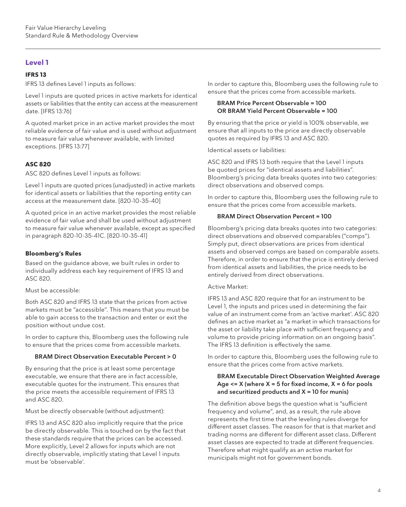### **Level 1**

#### **IFRS 13**

IFRS 13 defines Level 1 inputs as follows:

Level 1 inputs are quoted prices in active markets for identical assets or liabilities that the entity can access at the measurement date. [IFRS 13:76]

A quoted market price in an active market provides the most reliable evidence of fair value and is used without adjustment to measure fair value whenever available, with limited exceptions. [IFRS 13:77]

#### **ASC 820**

ASC 820 defines Level 1 inputs as follows:

Level 1 inputs are quoted prices (unadjusted) in active markets for identical assets or liabilities that the reporting entity can access at the measurement date. [820-10-35-40]

A quoted price in an active market provides the most reliable evidence of fair value and shall be used without adjustment to measure fair value whenever available, except as specified in paragraph 820-10-35-41C. [820-10-35-41]

#### **Bloomberg's Rules**

Based on the guidance above, we built rules in order to individually address each key requirement of IFRS 13 and ASC 820.

Must be accessible:

Both ASC 820 and IFRS 13 state that the prices from active markets must be "accessible". This means that you must be able to gain access to the transaction and enter or exit the position without undue cost.

In order to capture this, Bloomberg uses the following rule to ensure that the prices come from accessible markets.

#### BRAM Direct Observation Executable Percent > 0

By ensuring that the price is at least some percentage executable, we ensure that there are in fact accessible, executable quotes for the instrument. This ensures that the price meets the accessible requirement of IFRS 13 and ASC 820.

Must be directly observable (without adjustment):

IFRS 13 and ASC 820 also implicitly require that the price be directly observable. This is touched on by the fact that these standards require that the prices can be accessed. More explicitly, Level 2 allows for inputs which are not directly observable, implicitly stating that Level 1 inputs must be 'observable'.

In order to capture this, Bloomberg uses the following rule to ensure that the prices come from accessible markets.

#### BRAM Price Percent Observable = 100 OR BRAM Yield Percent Observable = 100

By ensuring that the price or yield is 100% observable, we ensure that all inputs to the price are directly observable quotes as required by IFRS 13 and ASC 820.

Identical assets or liabilities:

ASC 820 and IFRS 13 both require that the Level 1 inputs be quoted prices for "identical assets and liabilities". Bloomberg's pricing data breaks quotes into two categories: direct observations and observed comps.

In order to capture this, Bloomberg uses the following rule to ensure that the prices come from accessible markets.

#### BRAM Direct Observation Percent = 100

Bloomberg's pricing data breaks quotes into two categories: direct observations and observed comparables ("comps"). Simply put, direct observations are prices from identical assets and observed comps are based on comparable assets. Therefore, in order to ensure that the price is entirely derived from identical assets and liabilities, the price needs to be entirely derived from direct observations.

#### Active Market:

IFRS 13 and ASC 820 require that for an instrument to be Level 1, the inputs and prices used in determining the fair value of an instrument come from an 'active market'. ASC 820 defines an active market as "a market in which transactions for the asset or liability take place with sufficient frequency and volume to provide pricing information on an ongoing basis". The IFRS 13 definition is effectively the same.

In order to capture this, Bloomberg uses the following rule to ensure that the prices come from active markets.

#### BRAM Executable Direct Observation Weighted Average Age  $\leq$   $\times$  (where X = 5 for fixed income, X = 6 for pools and securitized products and  $X = 10$  for munis)

The definition above begs the question what is "sufficient frequency and volume", and, as a result, the rule above represents the first time that the leveling rules diverge for different asset classes. The reason for that is that market and trading norms are different for different asset class. Different asset classes are expected to trade at different frequencies. Therefore what might qualify as an active market for municipals might not for government bonds.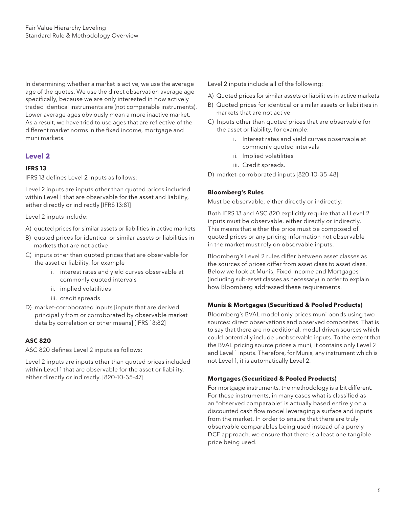In determining whether a market is active, we use the average age of the quotes. We use the direct observation average age specifically, because we are only interested in how actively traded identical instruments are (not comparable instruments). Lower average ages obviously mean a more inactive market. As a result, we have tried to use ages that are reflective of the different market norms in the fixed income, mortgage and muni markets.

#### **Level 2**

#### **IFRS 13**

IFRS 13 defines Level 2 inputs as follows:

Level 2 inputs are inputs other than quoted prices included within Level 1 that are observable for the asset and liability, either directly or indirectly [IFRS 13:81]

Level 2 inputs include:

- A) quoted prices for similar assets or liabilities in active markets
- B) quoted prices for identical or similar assets or liabilities in markets that are not active
- C) inputs other than quoted prices that are observable for the asset or liability, for example
	- i. interest rates and yield curves observable at commonly quoted intervals
	- ii. implied volatilities
	- iii. credit spreads
- D) market-corroborated inputs [inputs that are derived principally from or corroborated by observable market data by correlation or other means] [IFRS 13:82]

#### **ASC 820**

ASC 820 defines Level 2 inputs as follows:

Level 2 inputs are inputs other than quoted prices included within Level 1 that are observable for the asset or liability, either directly or indirectly. [820-10-35-47]

Level 2 inputs include all of the following:

- A) Quoted prices for similar assets or liabilities in active markets
- B) Quoted prices for identical or similar assets or liabilities in markets that are not active
- C) Inputs other than quoted prices that are observable for the asset or liability, for example:
	- i. Interest rates and yield curves observable at commonly quoted intervals
	- ii. Implied volatilities
	- iii. Credit spreads.
- D) market-corroborated inputs [820-10-35-48]

#### **Bloomberg's Rules**

Must be observable, either directly or indirectly:

Both IFRS 13 and ASC 820 explicitly require that all Level 2 inputs must be observable, either directly or indirectly. This means that either the price must be composed of quoted prices or any pricing information not observable in the market must rely on observable inputs.

Bloomberg's Level 2 rules differ between asset classes as the sources of prices differ from asset class to asset class. Below we look at Munis, Fixed Income and Mortgages (including sub-asset classes as necessary) in order to explain how Bloomberg addressed these requirements.

#### **Munis & Mortgages (Securitized & Pooled Products)**

Bloomberg's BVAL model only prices muni bonds using two sources: direct observations and observed composites. That is to say that there are no additional, model driven sources which could potentially include unobservable inputs. To the extent that the BVAL pricing source prices a muni, it contains only Level 2 and Level 1 inputs. Therefore, for Munis, any instrument which is not Level 1, it is automatically Level 2.

#### **Mortgages (Securitized & Pooled Products)**

For mortgage instruments, the methodology is a bit different. For these instruments, in many cases what is classified as an "observed comparable" is actually based entirely on a discounted cash flow model leveraging a surface and inputs from the market. In order to ensure that there are truly observable comparables being used instead of a purely DCF approach, we ensure that there is a least one tangible price being used.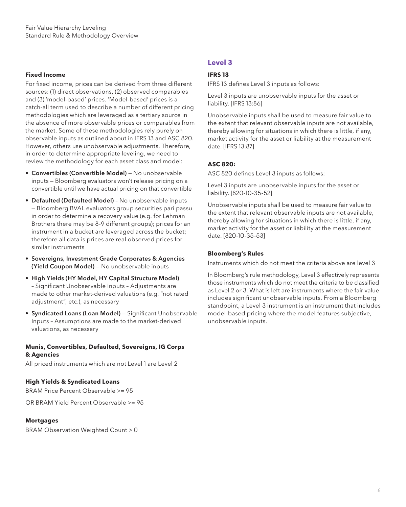#### **Fixed Income**

For fixed income, prices can be derived from three different sources: (1) direct observations, (2) observed comparables and (3) 'model-based' prices. 'Model-based' prices is a catch-all term used to describe a number of different pricing methodologies which are leveraged as a tertiary source in the absence of more observable prices or comparables from the market. Some of these methodologies rely purely on observable inputs as outlined about in IFRS 13 and ASC 820. However, others use unobservable adjustments. Therefore, in order to determine appropriate leveling, we need to review the methodology for each asset class and model:

- Convertibles (Convertible Model) No unobservable inputs — Bloomberg evaluators won't release pricing on a convertible until we have actual pricing on that convertible
- Defaulted (Defaulted Model) No unobservable inputs — Bloomberg BVAL evaluators group securities pari passu in order to determine a recovery value (e.g. for Lehman Brothers there may be 8-9 different groups); prices for an instrument in a bucket are leveraged across the bucket; therefore all data is prices are real observed prices for similar instruments
- Sovereigns, Investment Grade Corporates & Agencies (Yield Coupon Model) — No unobservable inputs
- High Yields (HY Model, HY Capital Structure Model) – Significant Unobservable Inputs – Adjustments are made to other market-derived valuations (e.g. "not rated adjustment", etc.), as necessary
- Syndicated Loans (Loan Model) Significant Unobservable Inputs – Assumptions are made to the market-derived valuations, as necessary

#### **Munis, Convertibles, Defaulted, Sovereigns, IG Corps & Agencies**

All priced instruments which are not Level 1 are Level 2

#### **High Yields & Syndicated Loans**

BRAM Price Percent Observable >= 95

OR BRAM Yield Percent Observable >= 95

#### **Mortgages**

BRAM Observation Weighted Count > 0

#### **Level 3**

#### **IFRS 13**

IFRS 13 defines Level 3 inputs as follows:

Level 3 inputs are unobservable inputs for the asset or liability. [IFRS 13:86]

Unobservable inputs shall be used to measure fair value to the extent that relevant observable inputs are not available, thereby allowing for situations in which there is little, if any, market activity for the asset or liability at the measurement date. [IFRS 13:87]

#### **ASC 820:**

ASC 820 defines Level 3 inputs as follows:

Level 3 inputs are unobservable inputs for the asset or liability. [820-10-35-52]

Unobservable inputs shall be used to measure fair value to the extent that relevant observable inputs are not available, thereby allowing for situations in which there is little, if any, market activity for the asset or liability at the measurement date. [820-10-35-53]

#### **Bloomberg's Rules**

Instruments which do not meet the criteria above are level 3

In Bloomberg's rule methodology, Level 3 effectively represents those instruments which do not meet the criteria to be classified as Level 2 or 3. What is left are instruments where the fair value includes significant unobservable inputs. From a Bloomberg standpoint, a Level 3 instrument is an instrument that includes model-based pricing where the model features subjective, unobservable inputs.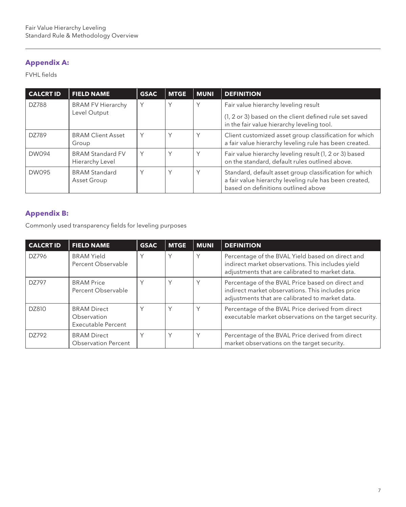## **Appendix A:**

FVHL fields

| <b>CALCRT ID</b> | <b>FIELD NAME</b>                          | <b>GSAC</b>  | <b>MTGE</b>  | <b>MUNI</b> | <b>DEFINITION</b>                                                                                                                                       |
|------------------|--------------------------------------------|--------------|--------------|-------------|---------------------------------------------------------------------------------------------------------------------------------------------------------|
| DZ788            | <b>BRAM FV Hierarchy</b><br>Level Output   | $\vee$       | Υ            | Υ           | Fair value hierarchy leveling result<br>(1, 2 or 3) based on the client defined rule set saved<br>in the fair value hierarchy leveling tool.            |
| DZ789            | <b>BRAM Client Asset</b><br>Group          | $\checkmark$ | $\checkmark$ | Υ           | Client customized asset group classification for which<br>a fair value hierarchy leveling rule has been created.                                        |
| <b>DW094</b>     | <b>BRAM Standard FV</b><br>Hierarchy Level | $\vee$       | Υ            | Υ           | Fair value hierarchy leveling result (1, 2 or 3) based<br>on the standard, default rules outlined above.                                                |
| <b>DW095</b>     | <b>BRAM Standard</b><br>Asset Group        |              | $\checkmark$ | $\vee$      | Standard, default asset group classification for which<br>a fair value hierarchy leveling rule has been created,<br>based on definitions outlined above |

## **Appendix B:**

Commonly used transparency fields for leveling purposes

| <b>CALCRT ID</b> | <b>FIELD NAME</b>                                       | <b>GSAC</b>  | <b>MTGE</b> | <b>MUNI</b> | <b>DEFINITION</b>                                                                                                                                        |
|------------------|---------------------------------------------------------|--------------|-------------|-------------|----------------------------------------------------------------------------------------------------------------------------------------------------------|
| DZ796            | <b>BRAM Yield</b><br>Percent Observable                 | Υ            | Υ           | Υ           | Percentage of the BVAL Yield based on direct and<br>indirect market observations. This includes yield<br>adjustments that are calibrated to market data. |
| DZ797            | <b>BRAM Price</b><br>Percent Observable                 | Υ            | Υ           | Υ           | Percentage of the BVAL Price based on direct and<br>indirect market observations. This includes price<br>adjustments that are calibrated to market data. |
| DZ810            | <b>BRAM Direct</b><br>Observation<br>Executable Percent | $\checkmark$ | Υ           | Υ           | Percentage of the BVAL Price derived from direct<br>executable market observations on the target security.                                               |
| DZ792            | <b>BRAM Direct</b><br><b>Observation Percent</b>        | ٧            | Υ           | Υ           | Percentage of the BVAL Price derived from direct<br>market observations on the target security.                                                          |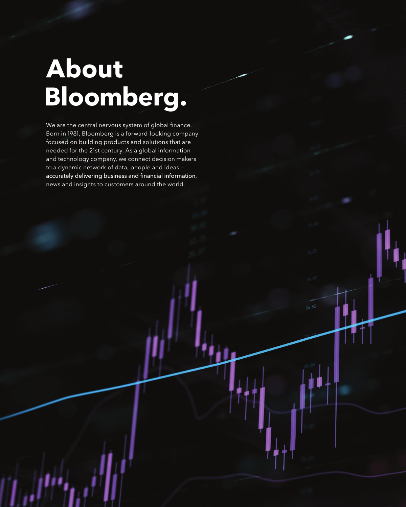## **About Bloomberg.**

We are the central nervous system of global finance. Born in 1981, Bloomberg is a forward-looking company focused on building products and solutions that are needed for the 21st century. As a global information and technology company, we connect decision makers to a dynamic network of data, people and ideas accurately delivering business and financial information, news and insights to customers around the world.